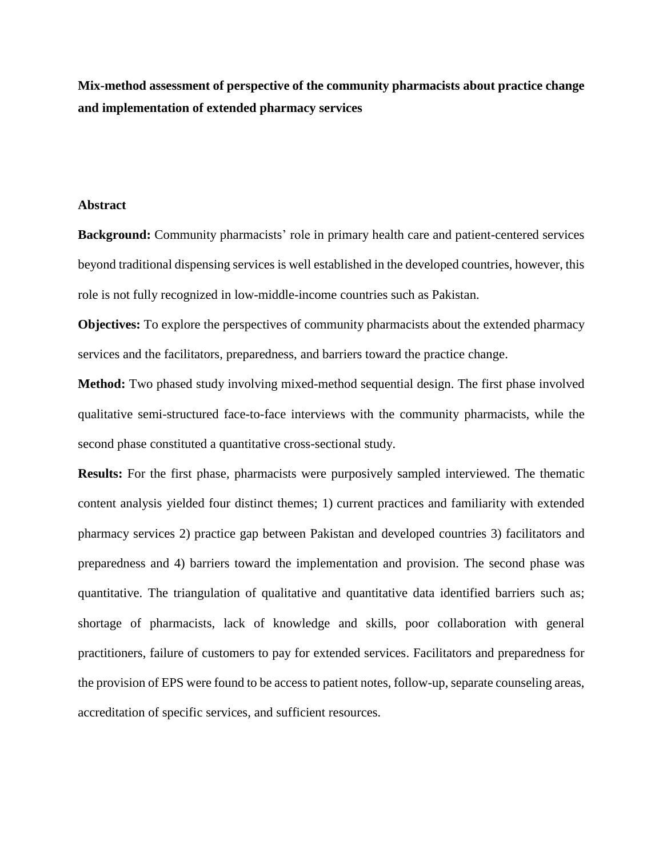**Mix-method assessment of perspective of the community pharmacists about practice change and implementation of extended pharmacy services**

#### **Abstract**

**Background:** Community pharmacists' role in primary health care and patient-centered services beyond traditional dispensing services is well established in the developed countries, however, this role is not fully recognized in low-middle-income countries such as Pakistan.

**Objectives:** To explore the perspectives of community pharmacists about the extended pharmacy services and the facilitators, preparedness, and barriers toward the practice change.

**Method:** Two phased study involving mixed-method sequential design. The first phase involved qualitative semi-structured face-to-face interviews with the community pharmacists, while the second phase constituted a quantitative cross-sectional study.

**Results:** For the first phase, pharmacists were purposively sampled interviewed. The thematic content analysis yielded four distinct themes; 1) current practices and familiarity with extended pharmacy services 2) practice gap between Pakistan and developed countries 3) facilitators and preparedness and 4) barriers toward the implementation and provision. The second phase was quantitative. The triangulation of qualitative and quantitative data identified barriers such as; shortage of pharmacists, lack of knowledge and skills, poor collaboration with general practitioners, failure of customers to pay for extended services. Facilitators and preparedness for the provision of EPS were found to be access to patient notes, follow-up, separate counseling areas, accreditation of specific services, and sufficient resources.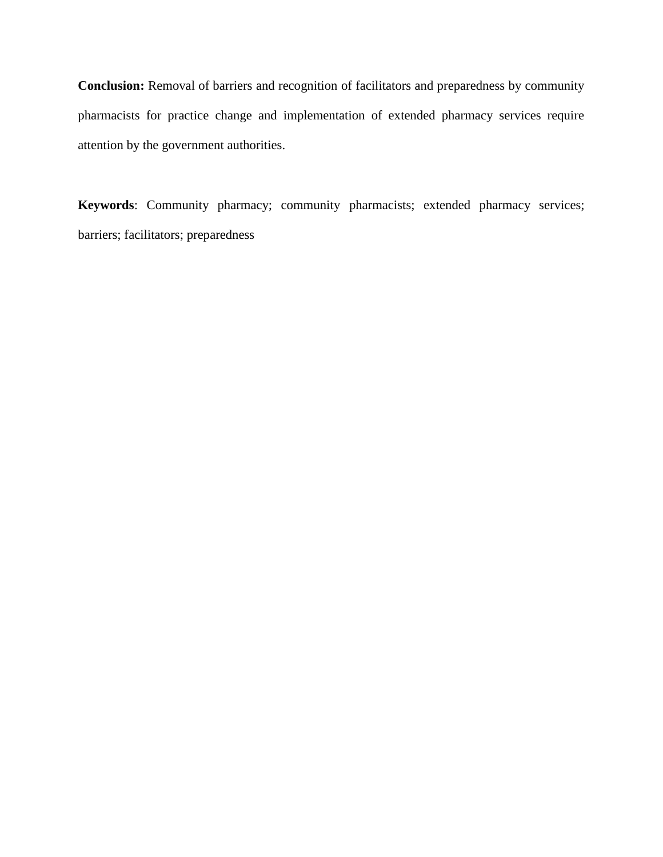**Conclusion:** Removal of barriers and recognition of facilitators and preparedness by community pharmacists for practice change and implementation of extended pharmacy services require attention by the government authorities.

**Keywords**: Community pharmacy; community pharmacists; extended pharmacy services; barriers; facilitators; preparedness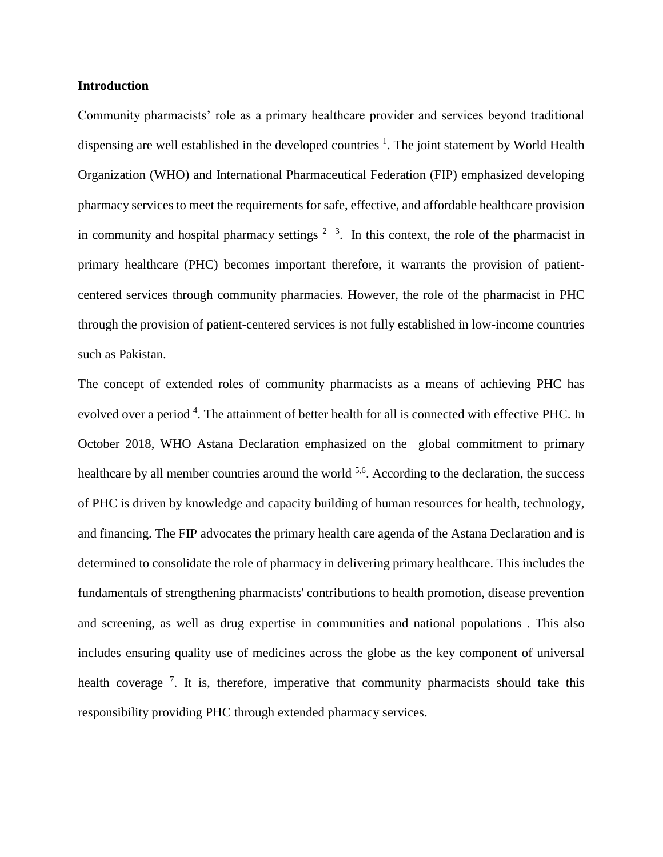#### **Introduction**

Community pharmacists' role as a primary healthcare provider and services beyond traditional dispensing are well established in the developed countries <sup>[1](#page-14-0)</sup>. The joint statement by World Health Organization (WHO) and International Pharmaceutical Federation (FIP) emphasized developing pharmacy services to meet the requirements for safe, effective, and affordable healthcare provision in community and hospital pharmacy settings  $2\frac{3}{1}$  $2\frac{3}{1}$  $2\frac{3}{1}$  $2\frac{3}{1}$ . In this context, the role of the pharmacist in primary healthcare (PHC) becomes important therefore, it warrants the provision of patientcentered services through community pharmacies. However, the role of the pharmacist in PHC through the provision of patient-centered services is not fully established in low-income countries such as Pakistan.

The concept of extended roles of community pharmacists as a means of achieving PHC has evolved over a period <sup>4</sup>[.](#page-14-3) The attainment of better health for all is connected with effective PHC. In October 2018, WHO Astana Declaration emphasized on the global commitment to primary healthcare by all member countries around the world <sup>[5,](#page-14-4)[6](#page-14-5)</sup>. According to the declaration, the success of PHC is driven by knowledge and capacity building of human resources for health, technology, and financing. The FIP advocates the primary health care agenda of the Astana Declaration and is determined to consolidate the role of pharmacy in delivering primary healthcare. This includes the fundamentals of strengthening pharmacists' contributions to health promotion, disease prevention and screening, as well as drug expertise in communities and national populations . This also includes ensuring quality use of medicines across the globe as the key component of universal health coverage<sup>[7](#page-14-6)</sup>. It is, therefore, imperative that community pharmacists should take this responsibility providing PHC through extended pharmacy services.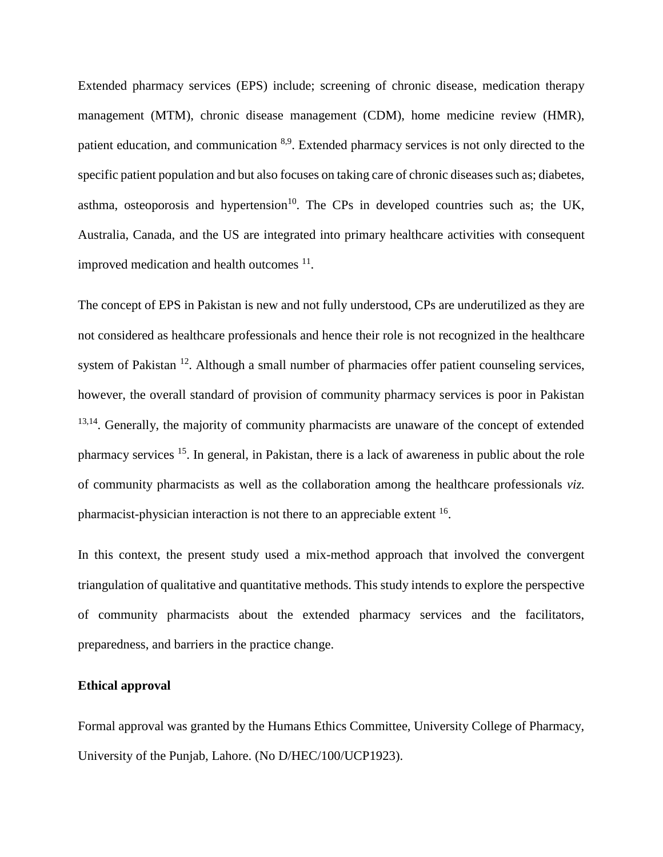Extended pharmacy services (EPS) include; screening of chronic disease, medication therapy management (MTM), chronic disease management (CDM), home medicine review (HMR), patient education, and communication <sup>[8](#page-14-7)[,9](#page-14-8)</sup>. Extended pharmacy services is not only directed to the specific patient population and but also focuses on taking care of chronic diseases such as; diabetes, asthma, osteoporosis and hypertension<sup>[10](#page-15-0)</sup>. The CPs in developed countries such as; the UK, Australia, Canada, and the US are integrated into primary healthcare activities with consequent improved medication and health outcomes  $11$ .

The concept of EPS in Pakistan is new and not fully understood, CPs are underutilized as they are not considered as healthcare professionals and hence their role is not recognized in the healthcare system of Pakistan <sup>[12](#page-15-2)</sup>. Although a small number of pharmacies offer patient counseling services, however, the overall standard of provision of community pharmacy services is poor in Pakistan  $13,14$  $13,14$ . Generally, the majority of community pharmacists are unaware of the concept of extended pharmacy services <sup>[15](#page-15-5)</sup>. In general, in Pakistan, there is a lack of awareness in public about the role of community pharmacists as well as the collaboration among the healthcare professionals *viz.* pharmacist-physician interaction is not there to an appreciable extent <sup>[16](#page-15-6)</sup>.

In this context, the present study used a mix-method approach that involved the convergent triangulation of qualitative and quantitative methods. This study intends to explore the perspective of community pharmacists about the extended pharmacy services and the facilitators, preparedness, and barriers in the practice change.

#### **Ethical approval**

Formal approval was granted by the Humans Ethics Committee, University College of Pharmacy, University of the Punjab, Lahore. (No D/HEC/100/UCP1923).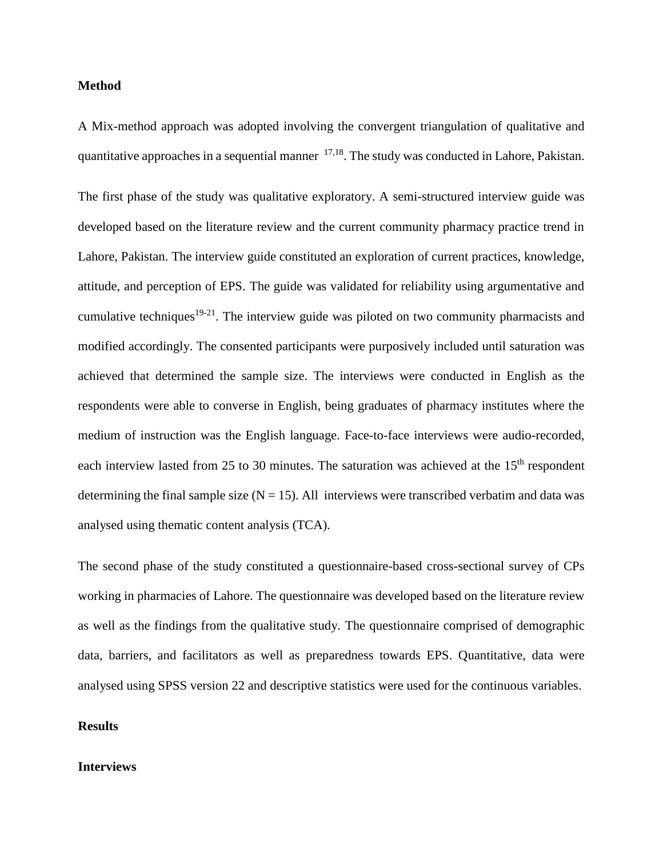#### **Method**

A Mix-method approach was adopted involving the convergent triangulation of qualitative and quantitative approaches in a sequential manner  $17,18$  $17,18$ . The study was conducted in Lahore, Pakistan.

The first phase of the study was qualitative exploratory. A semi-structured interview guide was developed based on the literature review and the current community pharmacy practice trend in Lahore, Pakistan. The interview guide constituted an exploration of current practices, knowledge, attitude, and perception of EPS. The guide was validated for reliability using argumentative and cumulative techniques<sup>[19-21](#page-15-9)</sup>. The interview guide was piloted on two community pharmacists and modified accordingly. The consented participants were purposively included until saturation was achieved that determined the sample size. The interviews were conducted in English as the respondents were able to converse in English, being graduates of pharmacy institutes where the medium of instruction was the English language. Face-to-face interviews were audio-recorded, each interview lasted from 25 to 30 minutes. The saturation was achieved at the  $15<sup>th</sup>$  respondent determining the final sample size  $(N = 15)$ . All interviews were transcribed verbatim and data was analysed using thematic content analysis (TCA).

The second phase of the study constituted a questionnaire-based cross-sectional survey of CPs working in pharmacies of Lahore. The questionnaire was developed based on the literature review as well as the findings from the qualitative study. The questionnaire comprised of demographic data, barriers, and facilitators as well as preparedness towards EPS. Quantitative, data were analysed using SPSS version 22 and descriptive statistics were used for the continuous variables.

### **Results**

#### **Interviews**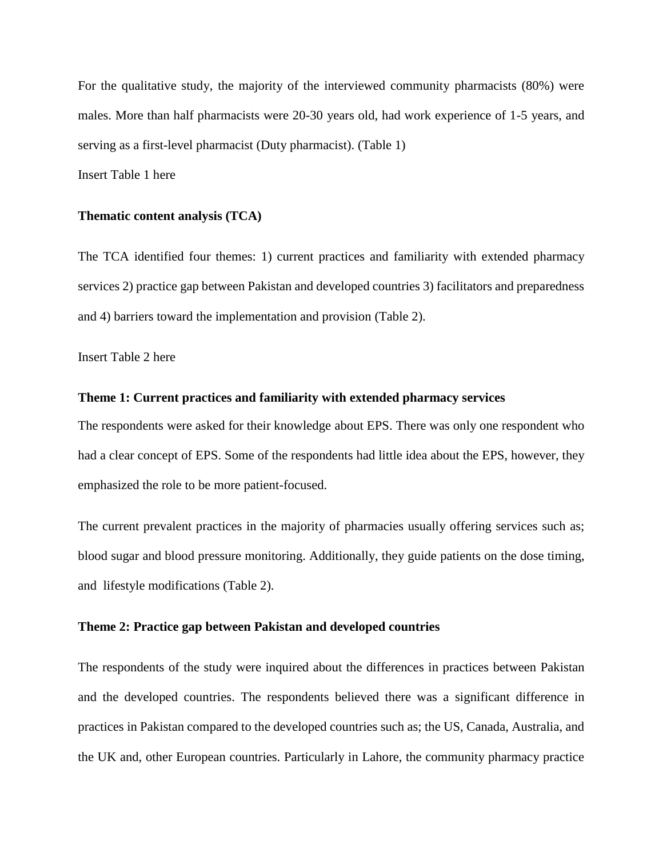For the qualitative study, the majority of the interviewed community pharmacists (80%) were males. More than half pharmacists were 20-30 years old, had work experience of 1-5 years, and serving as a first-level pharmacist (Duty pharmacist). (Table 1) Insert Table 1 here

#### **Thematic content analysis (TCA)**

The TCA identified four themes: 1) current practices and familiarity with extended pharmacy services 2) practice gap between Pakistan and developed countries 3) facilitators and preparedness and 4) barriers toward the implementation and provision (Table 2).

Insert Table 2 here

#### **Theme 1: Current practices and familiarity with extended pharmacy services**

The respondents were asked for their knowledge about EPS. There was only one respondent who had a clear concept of EPS. Some of the respondents had little idea about the EPS, however, they emphasized the role to be more patient-focused.

The current prevalent practices in the majority of pharmacies usually offering services such as; blood sugar and blood pressure monitoring. Additionally, they guide patients on the dose timing, and lifestyle modifications (Table 2).

#### **Theme 2: Practice gap between Pakistan and developed countries**

The respondents of the study were inquired about the differences in practices between Pakistan and the developed countries. The respondents believed there was a significant difference in practices in Pakistan compared to the developed countries such as; the US, Canada, Australia, and the UK and, other European countries. Particularly in Lahore, the community pharmacy practice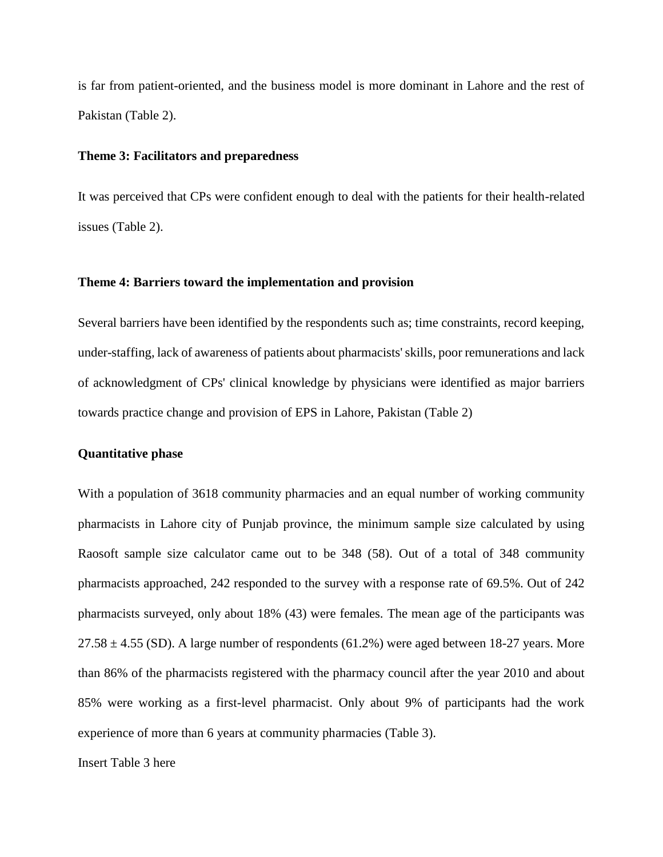is far from patient-oriented, and the business model is more dominant in Lahore and the rest of Pakistan (Table 2).

#### **Theme 3: Facilitators and preparedness**

It was perceived that CPs were confident enough to deal with the patients for their health-related issues (Table 2).

#### **Theme 4: Barriers toward the implementation and provision**

Several barriers have been identified by the respondents such as; time constraints, record keeping, under-staffing, lack of awareness of patients about pharmacists' skills, poor remunerations and lack of acknowledgment of CPs' clinical knowledge by physicians were identified as major barriers towards practice change and provision of EPS in Lahore, Pakistan (Table 2)

#### **Quantitative phase**

With a population of 3618 community pharmacies and an equal number of working community pharmacists in Lahore city of Punjab province, the minimum sample size calculated by using Raosoft sample size calculator came out to be 348 (58). Out of a total of 348 community pharmacists approached, 242 responded to the survey with a response rate of 69.5%. Out of 242 pharmacists surveyed, only about 18% (43) were females. The mean age of the participants was  $27.58 \pm 4.55$  (SD). A large number of respondents (61.2%) were aged between 18-27 years. More than 86% of the pharmacists registered with the pharmacy council after the year 2010 and about 85% were working as a first-level pharmacist. Only about 9% of participants had the work experience of more than 6 years at community pharmacies (Table 3).

Insert Table 3 here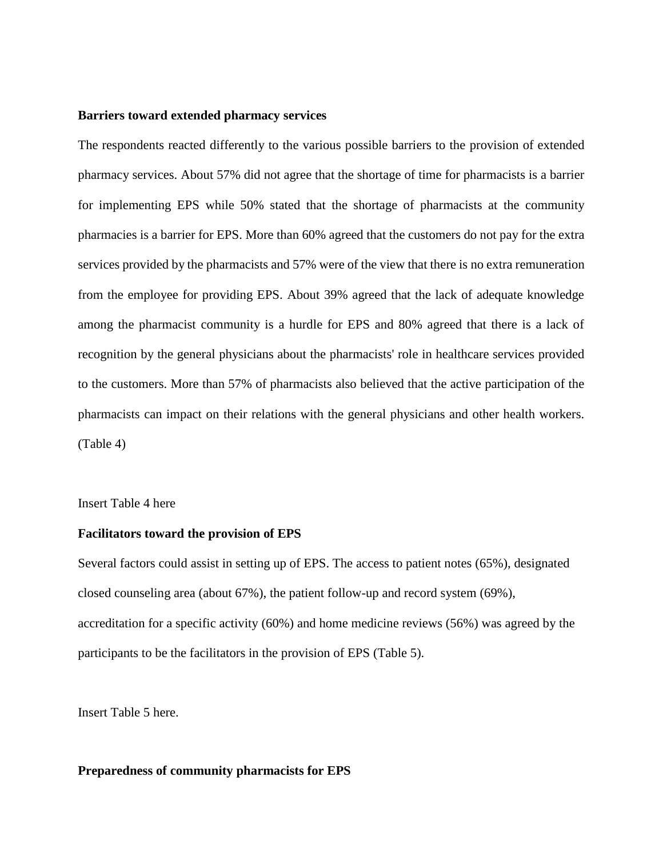#### **Barriers toward extended pharmacy services**

The respondents reacted differently to the various possible barriers to the provision of extended pharmacy services. About 57% did not agree that the shortage of time for pharmacists is a barrier for implementing EPS while 50% stated that the shortage of pharmacists at the community pharmacies is a barrier for EPS. More than 60% agreed that the customers do not pay for the extra services provided by the pharmacists and 57% were of the view that there is no extra remuneration from the employee for providing EPS. About 39% agreed that the lack of adequate knowledge among the pharmacist community is a hurdle for EPS and 80% agreed that there is a lack of recognition by the general physicians about the pharmacists' role in healthcare services provided to the customers. More than 57% of pharmacists also believed that the active participation of the pharmacists can impact on their relations with the general physicians and other health workers. (Table 4)

#### Insert Table 4 here

#### **Facilitators toward the provision of EPS**

Several factors could assist in setting up of EPS. The access to patient notes (65%), designated closed counseling area (about 67%), the patient follow-up and record system (69%), accreditation for a specific activity (60%) and home medicine reviews (56%) was agreed by the participants to be the facilitators in the provision of EPS (Table 5).

Insert Table 5 here.

#### **Preparedness of community pharmacists for EPS**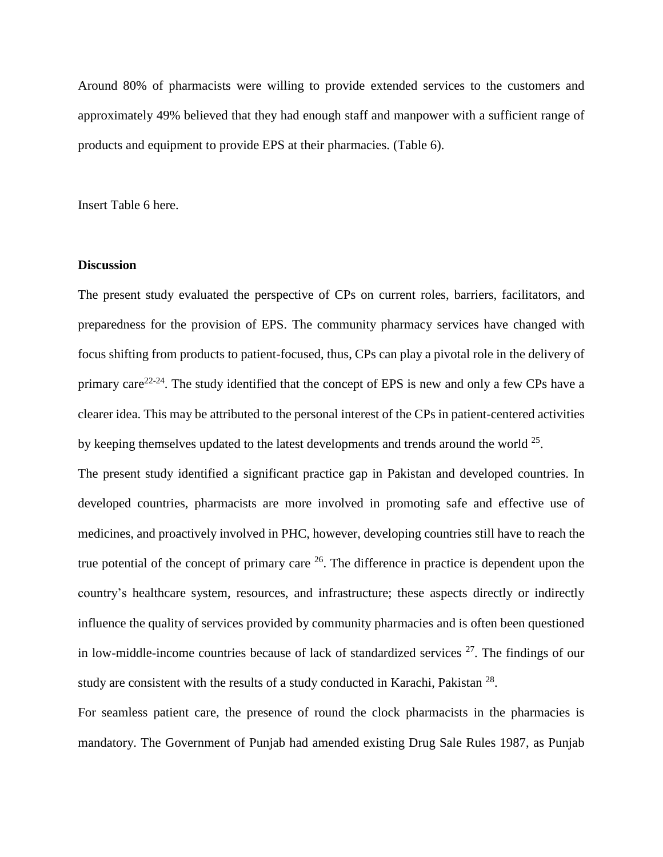Around 80% of pharmacists were willing to provide extended services to the customers and approximately 49% believed that they had enough staff and manpower with a sufficient range of products and equipment to provide EPS at their pharmacies. (Table 6).

Insert Table 6 here.

#### **Discussion**

The present study evaluated the perspective of CPs on current roles, barriers, facilitators, and preparedness for the provision of EPS. The community pharmacy services have changed with focus shifting from products to patient-focused, thus, CPs can play a pivotal role in the delivery of primary care<sup>[22-24](#page-16-0)</sup>. The study identified that the concept of EPS is new and only a few CPs have a clearer idea. This may be attributed to the personal interest of the CPs in patient-centered activities by keeping themselves updated to the latest developments and trends around the world  $25$ .

The present study identified a significant practice gap in Pakistan and developed countries. In developed countries, pharmacists are more involved in promoting safe and effective use of medicines, and proactively involved in PHC, however, developing countries still have to reach the true potential of the concept of primary care  $26$ . The difference in practice is dependent upon the country's healthcare system, resources, and infrastructure; these aspects directly or indirectly influence the quality of services provided by community pharmacies and is often been questioned in low-middle-income countries because of lack of standardized services  $27$ . The findings of our study are consistent with the results of a study conducted in Karachi, Pakistan<sup>[28](#page-16-4)</sup>.

For seamless patient care, the presence of round the clock pharmacists in the pharmacies is mandatory. The Government of Punjab had amended existing Drug Sale Rules 1987, as Punjab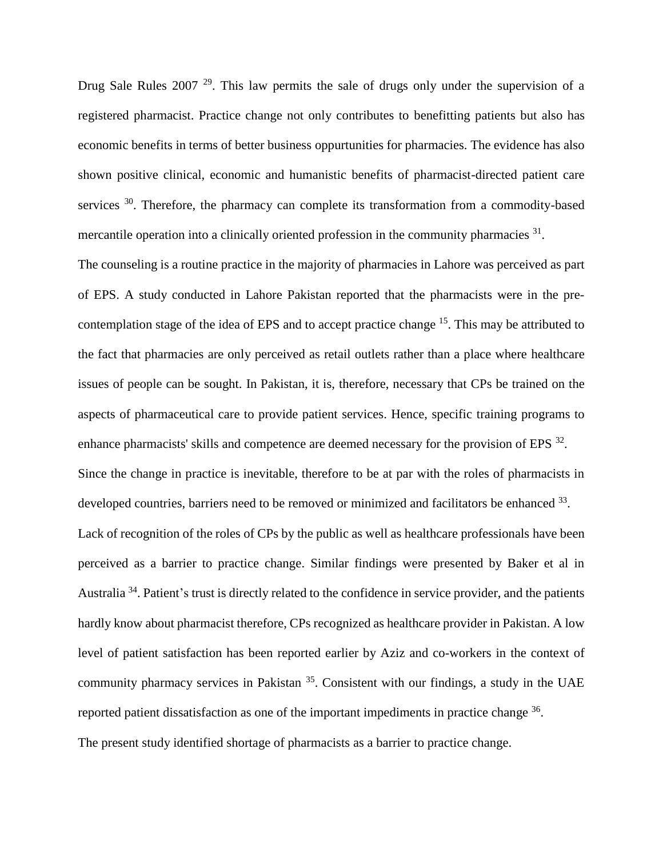Drug Sale Rules 2007<sup>[29](#page-16-5)</sup>. This law permits the sale of drugs only under the supervision of a registered pharmacist. Practice change not only contributes to benefitting patients but also has economic benefits in terms of better business oppurtunities for pharmacies. The evidence has also shown positive clinical, economic and humanistic benefits of pharmacist-directed patient care services  $30$ . Therefore, the pharmacy can complete its transformation from a commodity-based mercantile operation into a clinically oriented profession in the community pharmacies <sup>[31](#page-17-1)</sup>.

The counseling is a routine practice in the majority of pharmacies in Lahore was perceived as part of EPS. A study conducted in Lahore Pakistan reported that the pharmacists were in the pre-contemplation stage of the idea of EPS and to accept practice change <sup>[15](#page-15-5)</sup>. This may be attributed to the fact that pharmacies are only perceived as retail outlets rather than a place where healthcare issues of people can be sought. In Pakistan, it is, therefore, necessary that CPs be trained on the aspects of pharmaceutical care to provide patient services. Hence, specific training programs to enhance pharmacists' skills and competence are deemed necessary for the provision of EPS <sup>[32](#page-17-2)</sup>. Since the change in practice is inevitable, therefore to be at par with the roles of pharmacists in developed countries, barriers need to be removed or minimized and facilitators be enhanced <sup>[33](#page-17-3)</sup>. Lack of recognition of the roles of CPs by the public as well as healthcare professionals have been perceived as a barrier to practice change. Similar findings were presented by Baker et al in Australia<sup>[34](#page-17-4)</sup>. Patient's trust is directly related to the confidence in service provider, and the patients hardly know about pharmacist therefore, CPs recognized as healthcare provider in Pakistan. A low level of patient satisfaction has been reported earlier by Aziz and co-workers in the context of community pharmacy services in Pakistan <sup>[35](#page-17-5)</sup>. Consistent with our findings, a study in the UAE reported patient dissatisfaction as one of the important impediments in practice change <sup>[36](#page-17-6)</sup>. The present study identified shortage of pharmacists as a barrier to practice change.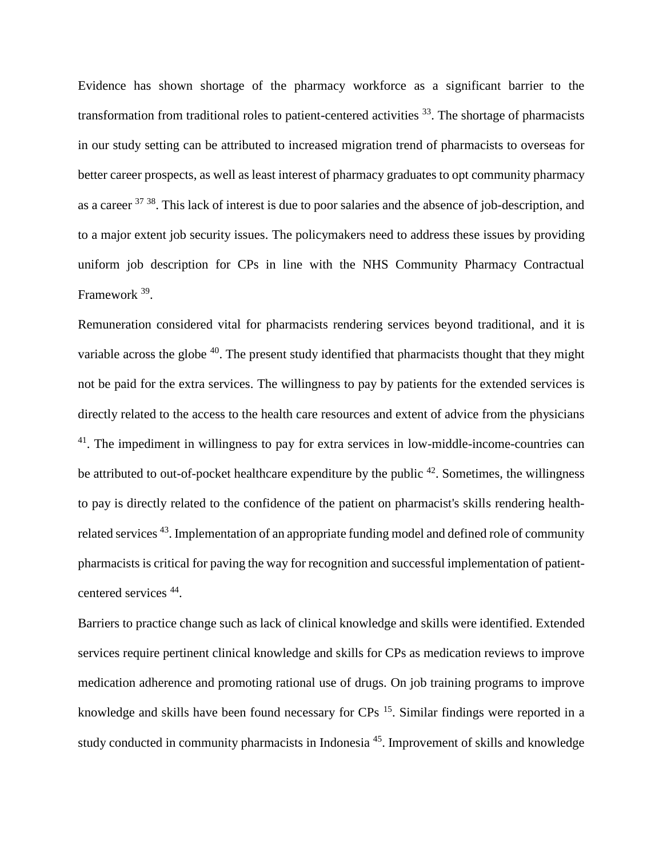Evidence has shown shortage of the pharmacy workforce as a significant barrier to the transformation from traditional roles to patient-centered activities <sup>[33](#page-17-3)</sup>. The shortage of pharmacists in our study setting can be attributed to increased migration trend of pharmacists to overseas for better career prospects, as well as least interest of pharmacy graduates to opt community pharmacy as a career <sup>[37](#page-17-7) [38](#page-17-8)</sup>. This lack of interest is due to poor salaries and the absence of job-description, and to a major extent job security issues. The policymakers need to address these issues by providing uniform job description for CPs in line with the NHS Community Pharmacy Contractual Framework <sup>[39](#page-18-0)</sup>.

Remuneration considered vital for pharmacists rendering services beyond traditional, and it is variable across the globe  $40$ . The present study identified that pharmacists thought that they might not be paid for the extra services. The willingness to pay by patients for the extended services is directly related to the access to the health care resources and extent of advice from the physicians <sup>[41](#page-18-2)</sup>. The impediment in willingness to pay for extra services in low-middle-income-countries can be attributed to out-of-pocket healthcare expenditure by the public  $42$ . Sometimes, the willingness to pay is directly related to the confidence of the patient on pharmacist's skills rendering health-related services<sup>[43](#page-18-4)</sup>. Implementation of an appropriate funding model and defined role of community pharmacists is critical for paving the way for recognition and successful implementation of patientcentered services [44](#page-18-5) .

Barriers to practice change such as lack of clinical knowledge and skills were identified. Extended services require pertinent clinical knowledge and skills for CPs as medication reviews to improve medication adherence and promoting rational use of drugs. On job training programs to improve knowledge and skills have been found necessary for CPs <sup>[15](#page-15-5)</sup>. Similar findings were reported in a study conducted in community pharmacists in Indonesia<sup>[45](#page-18-6)</sup>. Improvement of skills and knowledge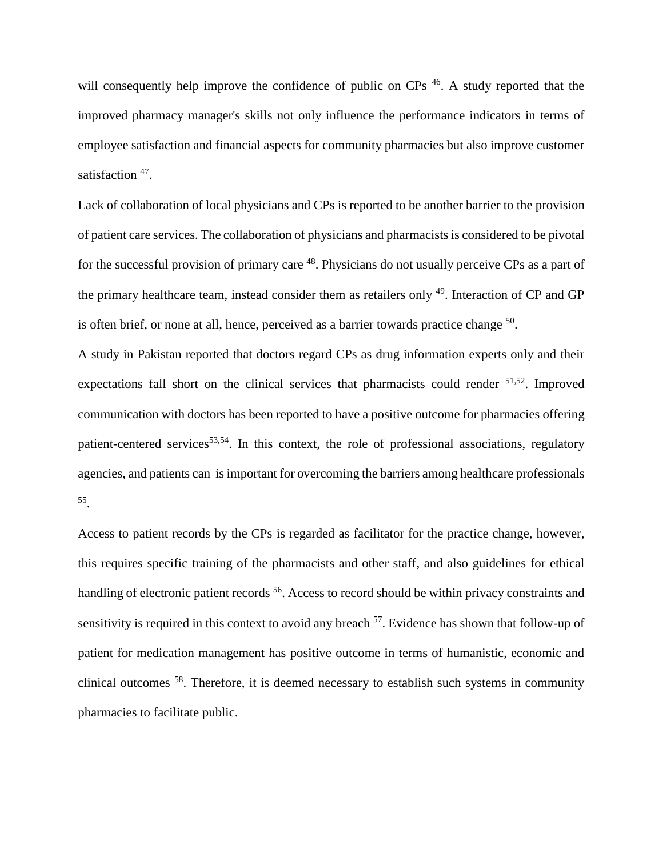will consequently help improve the confidence of public on CPs <sup>[46](#page-18-7)</sup>. A study reported that the improved pharmacy manager's skills not only influence the performance indicators in terms of employee satisfaction and financial aspects for community pharmacies but also improve customer satisfaction <sup>[47](#page-18-8)</sup>.

Lack of collaboration of local physicians and CPs is reported to be another barrier to the provision of patient care services. The collaboration of physicians and pharmacists is considered to be pivotal for the successful provision of primary care <sup>[48](#page-18-9)</sup>. Physicians do not usually perceive CPs as a part of the primary healthcare team, instead consider them as retailers only <sup>[49](#page-19-0)</sup>. Interaction of CP and GP is often brief, or none at all, hence, perceived as a barrier towards practice change  $50$ .

A study in Pakistan reported that doctors regard CPs as drug information experts only and their expectations fall short on the clinical services that pharmacists could render <sup>[51,](#page-19-2)[52](#page-19-3)</sup>. Improved communication with doctors has been reported to have a positive outcome for pharmacies offering patient-centered services<sup>[53,](#page-19-4)[54](#page-19-5)</sup>. In this context, the role of professional associations, regulatory agencies, and patients can is important for overcoming the barriers among healthcare professionals [55](#page-19-6) .

Access to patient records by the CPs is regarded as facilitator for the practice change, however, this requires specific training of the pharmacists and other staff, and also guidelines for ethical handling of electronic patient records <sup>[56](#page-19-7)</sup>. Access to record should be within privacy constraints and sensitivity is required in this context to avoid any breach <sup>[57](#page-19-8)</sup>. Evidence has shown that follow-up of patient for medication management has positive outcome in terms of humanistic, economic and clinical outcomes [58](#page-19-9). Therefore, it is deemed necessary to establish such systems in community pharmacies to facilitate public.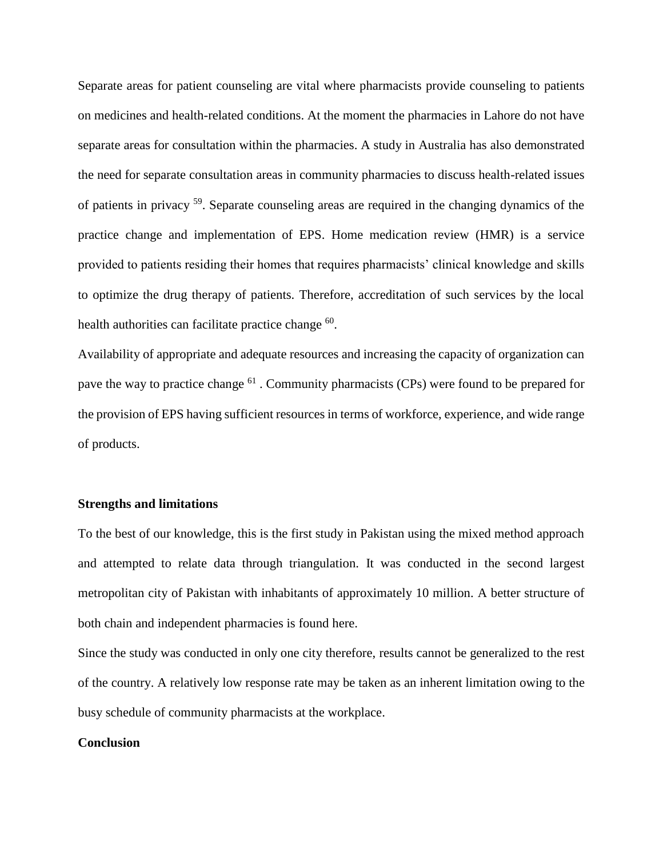Separate areas for patient counseling are vital where pharmacists provide counseling to patients on medicines and health-related conditions. At the moment the pharmacies in Lahore do not have separate areas for consultation within the pharmacies. A study in Australia has also demonstrated the need for separate consultation areas in community pharmacies to discuss health-related issues of patients in privacy [59](#page-20-0). Separate counseling areas are required in the changing dynamics of the practice change and implementation of EPS. Home medication review (HMR) is a service provided to patients residing their homes that requires pharmacists' clinical knowledge and skills to optimize the drug therapy of patients. Therefore, accreditation of such services by the local health authorities can facilitate practice change <sup>[60](#page-20-1)</sup>.

Availability of appropriate and adequate resources and increasing the capacity of organization can pave the way to practice change <sup>[61](#page-20-2)</sup>. Community pharmacists (CPs) were found to be prepared for the provision of EPS having sufficient resources in terms of workforce, experience, and wide range of products.

#### **Strengths and limitations**

To the best of our knowledge, this is the first study in Pakistan using the mixed method approach and attempted to relate data through triangulation. It was conducted in the second largest metropolitan city of Pakistan with inhabitants of approximately 10 million. A better structure of both chain and independent pharmacies is found here.

Since the study was conducted in only one city therefore, results cannot be generalized to the rest of the country. A relatively low response rate may be taken as an inherent limitation owing to the busy schedule of community pharmacists at the workplace.

#### **Conclusion**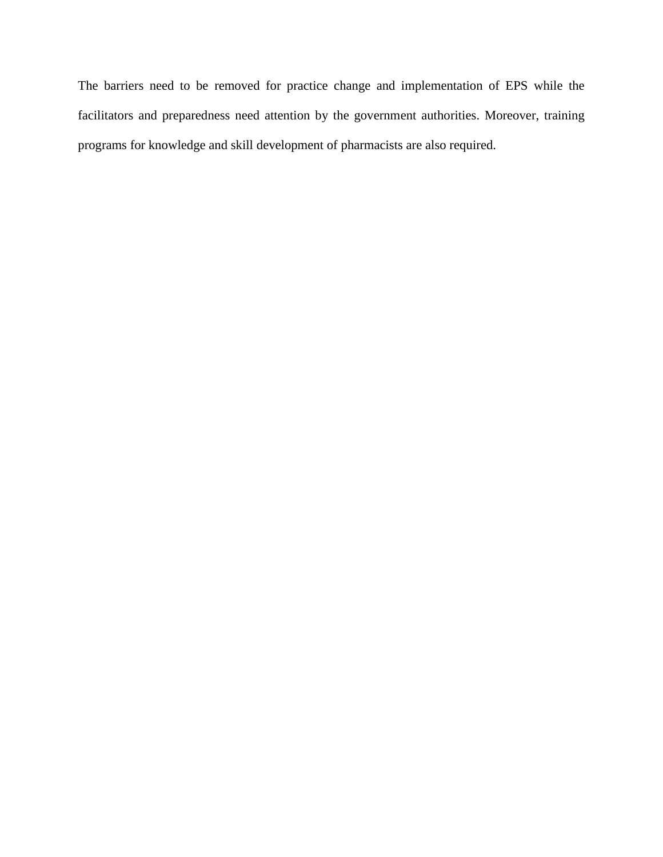The barriers need to be removed for practice change and implementation of EPS while the facilitators and preparedness need attention by the government authorities. Moreover, training programs for knowledge and skill development of pharmacists are also required.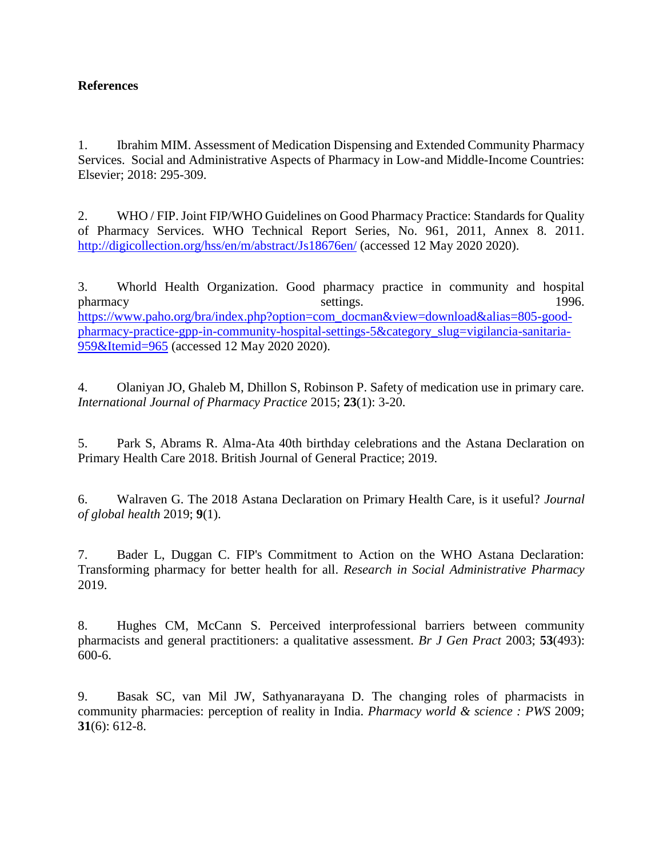### **References**

<span id="page-14-0"></span>1. Ibrahim MIM. Assessment of Medication Dispensing and Extended Community Pharmacy Services. Social and Administrative Aspects of Pharmacy in Low-and Middle-Income Countries: Elsevier; 2018: 295-309.

<span id="page-14-1"></span>2. WHO / FIP. Joint FIP/WHO Guidelines on Good Pharmacy Practice: Standards for Quality of Pharmacy Services. WHO Technical Report Series, No. 961, 2011, Annex 8. 2011. <http://digicollection.org/hss/en/m/abstract/Js18676en/> (accessed 12 May 2020 2020).

<span id="page-14-2"></span>3. Whorld Health Organization. Good pharmacy practice in community and hospital pharmacy settings. 1996. [https://www.paho.org/bra/index.php?option=com\\_docman&view=download&alias=805-good](https://www.paho.org/bra/index.php?option=com_docman&view=download&alias=805-good-pharmacy-practice-gpp-in-community-hospital-settings-5&category_slug=vigilancia-sanitaria-959&Itemid=965)[pharmacy-practice-gpp-in-community-hospital-settings-5&category\\_slug=vigilancia-sanitaria-](https://www.paho.org/bra/index.php?option=com_docman&view=download&alias=805-good-pharmacy-practice-gpp-in-community-hospital-settings-5&category_slug=vigilancia-sanitaria-959&Itemid=965)[959&Itemid=965](https://www.paho.org/bra/index.php?option=com_docman&view=download&alias=805-good-pharmacy-practice-gpp-in-community-hospital-settings-5&category_slug=vigilancia-sanitaria-959&Itemid=965) (accessed 12 May 2020 2020).

<span id="page-14-3"></span>4. Olaniyan JO, Ghaleb M, Dhillon S, Robinson P. Safety of medication use in primary care. *International Journal of Pharmacy Practice* 2015; **23**(1): 3-20.

<span id="page-14-4"></span>5. Park S, Abrams R. Alma-Ata 40th birthday celebrations and the Astana Declaration on Primary Health Care 2018. British Journal of General Practice; 2019.

<span id="page-14-5"></span>6. Walraven G. The 2018 Astana Declaration on Primary Health Care, is it useful? *Journal of global health* 2019; **9**(1).

<span id="page-14-6"></span>7. Bader L, Duggan C. FIP's Commitment to Action on the WHO Astana Declaration: Transforming pharmacy for better health for all. *Research in Social Administrative Pharmacy* 2019.

<span id="page-14-7"></span>8. Hughes CM, McCann S. Perceived interprofessional barriers between community pharmacists and general practitioners: a qualitative assessment. *Br J Gen Pract* 2003; **53**(493): 600-6.

<span id="page-14-8"></span>9. Basak SC, van Mil JW, Sathyanarayana D. The changing roles of pharmacists in community pharmacies: perception of reality in India. *Pharmacy world & science : PWS* 2009; **31**(6): 612-8.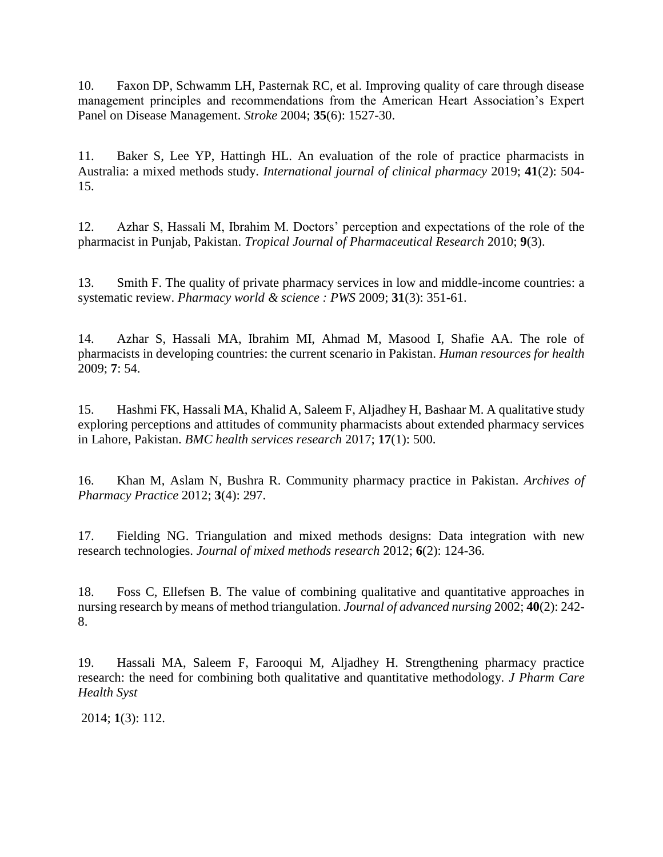<span id="page-15-0"></span>10. Faxon DP, Schwamm LH, Pasternak RC, et al. Improving quality of care through disease management principles and recommendations from the American Heart Association's Expert Panel on Disease Management. *Stroke* 2004; **35**(6): 1527-30.

<span id="page-15-1"></span>11. Baker S, Lee YP, Hattingh HL. An evaluation of the role of practice pharmacists in Australia: a mixed methods study. *International journal of clinical pharmacy* 2019; **41**(2): 504- 15.

<span id="page-15-2"></span>12. Azhar S, Hassali M, Ibrahim M. Doctors' perception and expectations of the role of the pharmacist in Punjab, Pakistan. *Tropical Journal of Pharmaceutical Research* 2010; **9**(3).

<span id="page-15-3"></span>13. Smith F. The quality of private pharmacy services in low and middle-income countries: a systematic review. *Pharmacy world & science : PWS* 2009; **31**(3): 351-61.

<span id="page-15-4"></span>14. Azhar S, Hassali MA, Ibrahim MI, Ahmad M, Masood I, Shafie AA. The role of pharmacists in developing countries: the current scenario in Pakistan. *Human resources for health* 2009; **7**: 54.

<span id="page-15-5"></span>15. Hashmi FK, Hassali MA, Khalid A, Saleem F, Aljadhey H, Bashaar M. A qualitative study exploring perceptions and attitudes of community pharmacists about extended pharmacy services in Lahore, Pakistan. *BMC health services research* 2017; **17**(1): 500.

<span id="page-15-6"></span>16. Khan M, Aslam N, Bushra R. Community pharmacy practice in Pakistan. *Archives of Pharmacy Practice* 2012; **3**(4): 297.

<span id="page-15-7"></span>17. Fielding NG. Triangulation and mixed methods designs: Data integration with new research technologies. *Journal of mixed methods research* 2012; **6**(2): 124-36.

<span id="page-15-8"></span>18. Foss C, Ellefsen B. The value of combining qualitative and quantitative approaches in nursing research by means of method triangulation. *Journal of advanced nursing* 2002; **40**(2): 242- 8.

<span id="page-15-9"></span>19. Hassali MA, Saleem F, Farooqui M, Aljadhey H. Strengthening pharmacy practice research: the need for combining both qualitative and quantitative methodology. *J Pharm Care Health Syst*

2014; **1**(3): 112.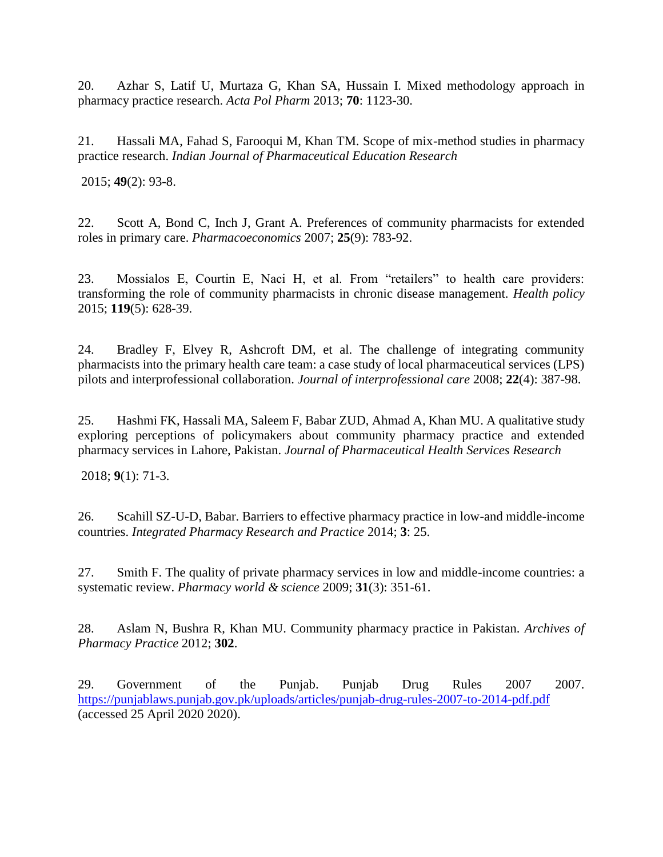20. Azhar S, Latif U, Murtaza G, Khan SA, Hussain I. Mixed methodology approach in pharmacy practice research. *Acta Pol Pharm* 2013; **70**: 1123-30.

21. Hassali MA, Fahad S, Farooqui M, Khan TM. Scope of mix-method studies in pharmacy practice research. *Indian Journal of Pharmaceutical Education Research*

2015; **49**(2): 93-8.

<span id="page-16-0"></span>22. Scott A, Bond C, Inch J, Grant A. Preferences of community pharmacists for extended roles in primary care. *Pharmacoeconomics* 2007; **25**(9): 783-92.

23. Mossialos E, Courtin E, Naci H, et al. From "retailers" to health care providers: transforming the role of community pharmacists in chronic disease management. *Health policy* 2015; **119**(5): 628-39.

24. Bradley F, Elvey R, Ashcroft DM, et al. The challenge of integrating community pharmacists into the primary health care team: a case study of local pharmaceutical services (LPS) pilots and interprofessional collaboration. *Journal of interprofessional care* 2008; **22**(4): 387-98.

<span id="page-16-1"></span>25. Hashmi FK, Hassali MA, Saleem F, Babar ZUD, Ahmad A, Khan MU. A qualitative study exploring perceptions of policymakers about community pharmacy practice and extended pharmacy services in Lahore, Pakistan. *Journal of Pharmaceutical Health Services Research*

2018; **9**(1): 71-3.

<span id="page-16-2"></span>26. Scahill SZ-U-D, Babar. Barriers to effective pharmacy practice in low-and middle-income countries. *Integrated Pharmacy Research and Practice* 2014; **3**: 25.

<span id="page-16-3"></span>27. Smith F. The quality of private pharmacy services in low and middle-income countries: a systematic review. *Pharmacy world & science* 2009; **31**(3): 351-61.

<span id="page-16-4"></span>28. Aslam N, Bushra R, Khan MU. Community pharmacy practice in Pakistan. *Archives of Pharmacy Practice* 2012; **302**.

<span id="page-16-5"></span>29. Government of the Punjab. Punjab Drug Rules 2007 2007. <https://punjablaws.punjab.gov.pk/uploads/articles/punjab-drug-rules-2007-to-2014-pdf.pdf> (accessed 25 April 2020 2020).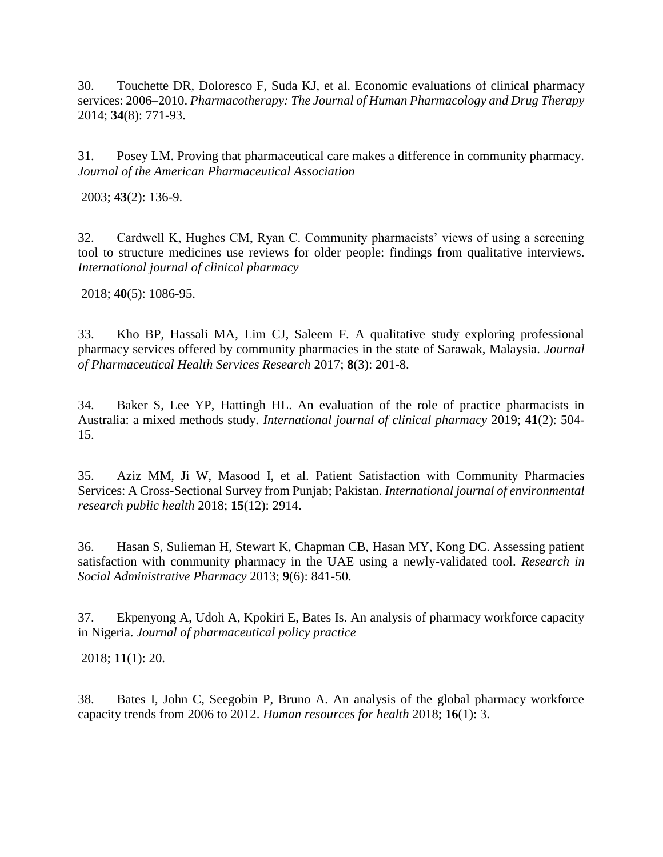<span id="page-17-0"></span>30. Touchette DR, Doloresco F, Suda KJ, et al. Economic evaluations of clinical pharmacy services: 2006–2010. *Pharmacotherapy: The Journal of Human Pharmacology and Drug Therapy* 2014; **34**(8): 771-93.

<span id="page-17-1"></span>31. Posey LM. Proving that pharmaceutical care makes a difference in community pharmacy. *Journal of the American Pharmaceutical Association*

2003; **43**(2): 136-9.

<span id="page-17-2"></span>32. Cardwell K, Hughes CM, Ryan C. Community pharmacists' views of using a screening tool to structure medicines use reviews for older people: findings from qualitative interviews. *International journal of clinical pharmacy*

2018; **40**(5): 1086-95.

<span id="page-17-3"></span>33. Kho BP, Hassali MA, Lim CJ, Saleem F. A qualitative study exploring professional pharmacy services offered by community pharmacies in the state of Sarawak, Malaysia. *Journal of Pharmaceutical Health Services Research* 2017; **8**(3): 201-8.

<span id="page-17-4"></span>34. Baker S, Lee YP, Hattingh HL. An evaluation of the role of practice pharmacists in Australia: a mixed methods study. *International journal of clinical pharmacy* 2019; **41**(2): 504- 15.

<span id="page-17-5"></span>35. Aziz MM, Ji W, Masood I, et al. Patient Satisfaction with Community Pharmacies Services: A Cross-Sectional Survey from Punjab; Pakistan. *International journal of environmental research public health* 2018; **15**(12): 2914.

<span id="page-17-6"></span>36. Hasan S, Sulieman H, Stewart K, Chapman CB, Hasan MY, Kong DC. Assessing patient satisfaction with community pharmacy in the UAE using a newly-validated tool. *Research in Social Administrative Pharmacy* 2013; **9**(6): 841-50.

<span id="page-17-7"></span>37. Ekpenyong A, Udoh A, Kpokiri E, Bates Is. An analysis of pharmacy workforce capacity in Nigeria. *Journal of pharmaceutical policy practice*

2018; **11**(1): 20.

<span id="page-17-8"></span>38. Bates I, John C, Seegobin P, Bruno A. An analysis of the global pharmacy workforce capacity trends from 2006 to 2012. *Human resources for health* 2018; **16**(1): 3.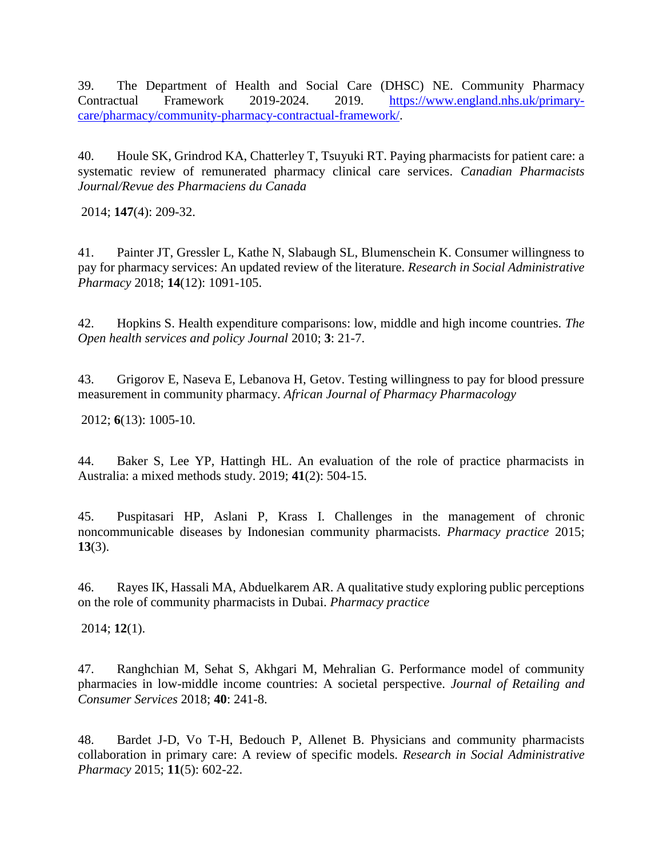<span id="page-18-0"></span>39. The Department of Health and Social Care (DHSC) NE. Community Pharmacy Contractual Framework 2019-2024. 2019. [https://www.england.nhs.uk/primary](https://www.england.nhs.uk/primary-care/pharmacy/community-pharmacy-contractual-framework/)[care/pharmacy/community-pharmacy-contractual-framework/.](https://www.england.nhs.uk/primary-care/pharmacy/community-pharmacy-contractual-framework/)

<span id="page-18-1"></span>40. Houle SK, Grindrod KA, Chatterley T, Tsuyuki RT. Paying pharmacists for patient care: a systematic review of remunerated pharmacy clinical care services. *Canadian Pharmacists Journal/Revue des Pharmaciens du Canada*

2014; **147**(4): 209-32.

<span id="page-18-2"></span>41. Painter JT, Gressler L, Kathe N, Slabaugh SL, Blumenschein K. Consumer willingness to pay for pharmacy services: An updated review of the literature. *Research in Social Administrative Pharmacy* 2018; **14**(12): 1091-105.

<span id="page-18-3"></span>42. Hopkins S. Health expenditure comparisons: low, middle and high income countries. *The Open health services and policy Journal* 2010; **3**: 21-7.

<span id="page-18-4"></span>43. Grigorov E, Naseva E, Lebanova H, Getov. Testing willingness to pay for blood pressure measurement in community pharmacy. *African Journal of Pharmacy Pharmacology*

2012; **6**(13): 1005-10.

<span id="page-18-5"></span>44. Baker S, Lee YP, Hattingh HL. An evaluation of the role of practice pharmacists in Australia: a mixed methods study. 2019; **41**(2): 504-15.

<span id="page-18-6"></span>45. Puspitasari HP, Aslani P, Krass I. Challenges in the management of chronic noncommunicable diseases by Indonesian community pharmacists. *Pharmacy practice* 2015; **13**(3).

<span id="page-18-7"></span>46. Rayes IK, Hassali MA, Abduelkarem AR. A qualitative study exploring public perceptions on the role of community pharmacists in Dubai. *Pharmacy practice*

2014; **12**(1).

<span id="page-18-8"></span>47. Ranghchian M, Sehat S, Akhgari M, Mehralian G. Performance model of community pharmacies in low-middle income countries: A societal perspective. *Journal of Retailing and Consumer Services* 2018; **40**: 241-8.

<span id="page-18-9"></span>48. Bardet J-D, Vo T-H, Bedouch P, Allenet B. Physicians and community pharmacists collaboration in primary care: A review of specific models. *Research in Social Administrative Pharmacy* 2015; **11**(5): 602-22.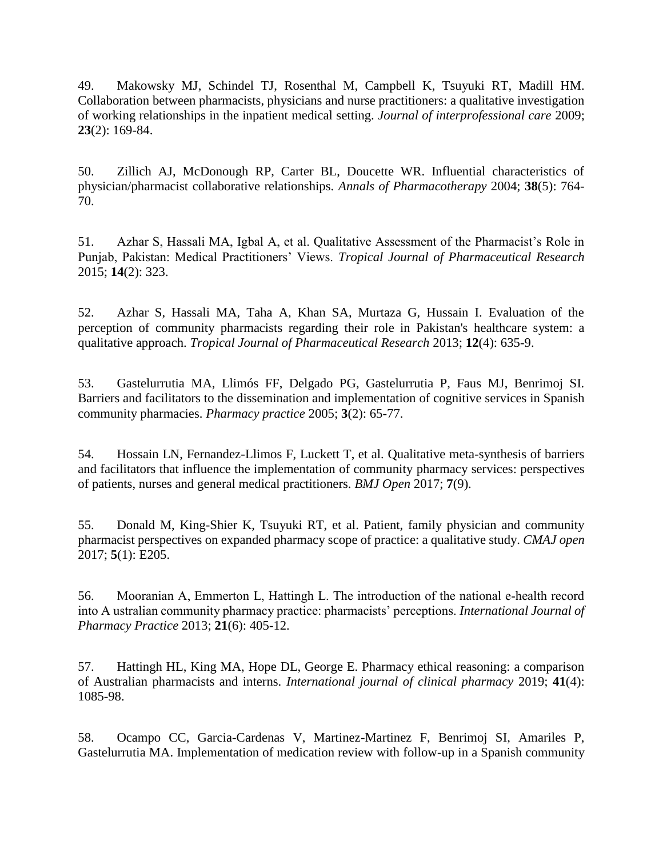<span id="page-19-0"></span>49. Makowsky MJ, Schindel TJ, Rosenthal M, Campbell K, Tsuyuki RT, Madill HM. Collaboration between pharmacists, physicians and nurse practitioners: a qualitative investigation of working relationships in the inpatient medical setting. *Journal of interprofessional care* 2009; **23**(2): 169-84.

<span id="page-19-1"></span>50. Zillich AJ, McDonough RP, Carter BL, Doucette WR. Influential characteristics of physician/pharmacist collaborative relationships. *Annals of Pharmacotherapy* 2004; **38**(5): 764- 70.

<span id="page-19-2"></span>51. Azhar S, Hassali MA, Igbal A, et al. Qualitative Assessment of the Pharmacist's Role in Punjab, Pakistan: Medical Practitioners' Views. *Tropical Journal of Pharmaceutical Research* 2015; **14**(2): 323.

<span id="page-19-3"></span>52. Azhar S, Hassali MA, Taha A, Khan SA, Murtaza G, Hussain I. Evaluation of the perception of community pharmacists regarding their role in Pakistan's healthcare system: a qualitative approach. *Tropical Journal of Pharmaceutical Research* 2013; **12**(4): 635-9.

<span id="page-19-4"></span>53. Gastelurrutia MA, Llimós FF, Delgado PG, Gastelurrutia P, Faus MJ, Benrimoj SI. Barriers and facilitators to the dissemination and implementation of cognitive services in Spanish community pharmacies. *Pharmacy practice* 2005; **3**(2): 65-77.

<span id="page-19-5"></span>54. Hossain LN, Fernandez-Llimos F, Luckett T, et al. Qualitative meta-synthesis of barriers and facilitators that influence the implementation of community pharmacy services: perspectives of patients, nurses and general medical practitioners. *BMJ Open* 2017; **7**(9).

<span id="page-19-6"></span>55. Donald M, King-Shier K, Tsuyuki RT, et al. Patient, family physician and community pharmacist perspectives on expanded pharmacy scope of practice: a qualitative study. *CMAJ open* 2017; **5**(1): E205.

<span id="page-19-7"></span>56. Mooranian A, Emmerton L, Hattingh L. The introduction of the national e‐health record into A ustralian community pharmacy practice: pharmacists' perceptions. *International Journal of Pharmacy Practice* 2013; **21**(6): 405-12.

<span id="page-19-8"></span>57. Hattingh HL, King MA, Hope DL, George E. Pharmacy ethical reasoning: a comparison of Australian pharmacists and interns. *International journal of clinical pharmacy* 2019; **41**(4): 1085-98.

<span id="page-19-9"></span>58. Ocampo CC, Garcia-Cardenas V, Martinez-Martinez F, Benrimoj SI, Amariles P, Gastelurrutia MA. Implementation of medication review with follow-up in a Spanish community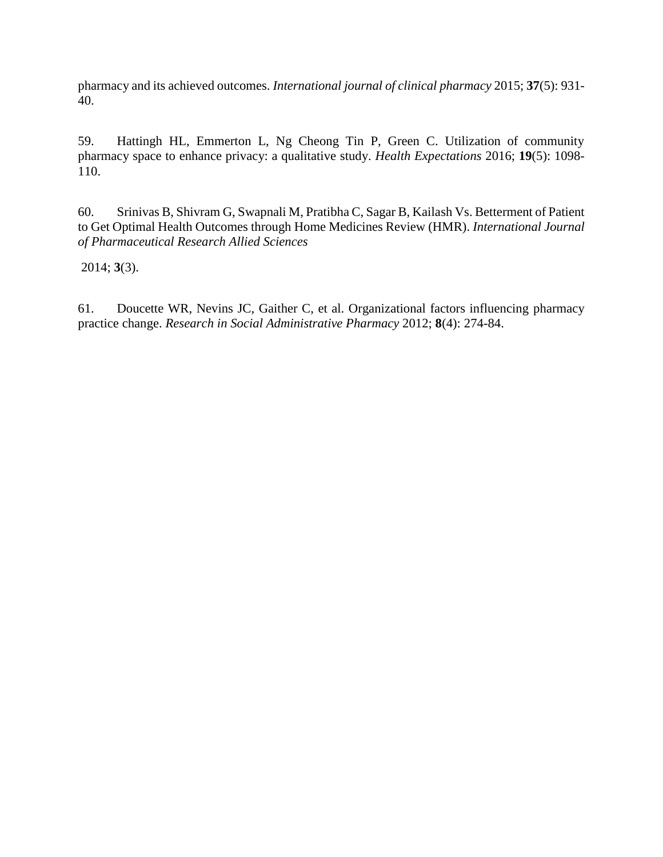pharmacy and its achieved outcomes. *International journal of clinical pharmacy* 2015; **37**(5): 931- 40.

<span id="page-20-0"></span>59. Hattingh HL, Emmerton L, Ng Cheong Tin P, Green C. Utilization of community pharmacy space to enhance privacy: a qualitative study. *Health Expectations* 2016; **19**(5): 1098- 110.

<span id="page-20-1"></span>60. Srinivas B, Shivram G, Swapnali M, Pratibha C, Sagar B, Kailash Vs. Betterment of Patient to Get Optimal Health Outcomes through Home Medicines Review (HMR). *International Journal of Pharmaceutical Research Allied Sciences*

2014; **3**(3).

<span id="page-20-2"></span>61. Doucette WR, Nevins JC, Gaither C, et al. Organizational factors influencing pharmacy practice change. *Research in Social Administrative Pharmacy* 2012; **8**(4): 274-84.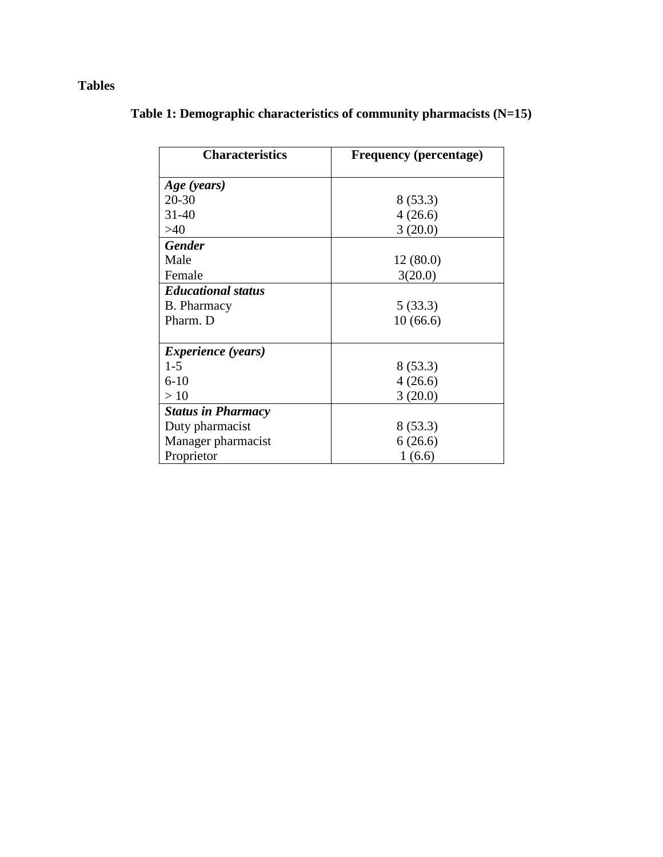# **Tables**

| <b>Characteristics</b>    | <b>Frequency (percentage)</b> |  |  |  |
|---------------------------|-------------------------------|--|--|--|
| Age (years)               |                               |  |  |  |
| $20 - 30$                 | 8(53.3)                       |  |  |  |
| $31 - 40$                 | 4(26.6)                       |  |  |  |
| >40                       | 3(20.0)                       |  |  |  |
| <b>Gender</b>             |                               |  |  |  |
| Male                      | 12(80.0)                      |  |  |  |
| Female                    | 3(20.0)                       |  |  |  |
| <b>Educational status</b> |                               |  |  |  |
| B. Pharmacy               | 5(33.3)                       |  |  |  |
| Pharm. D                  | 10(66.6)                      |  |  |  |
|                           |                               |  |  |  |
| <i>Experience (years)</i> |                               |  |  |  |
| $1-5$                     | 8(53.3)                       |  |  |  |
| $6 - 10$                  | 4(26.6)                       |  |  |  |
| >10                       | 3(20.0)                       |  |  |  |
| <b>Status in Pharmacy</b> |                               |  |  |  |
| Duty pharmacist           | 8(53.3)                       |  |  |  |
| Manager pharmacist        | 6(26.6)                       |  |  |  |
| Proprietor                | 1(6.6)                        |  |  |  |

# **Table 1: Demographic characteristics of community pharmacists (N=15)**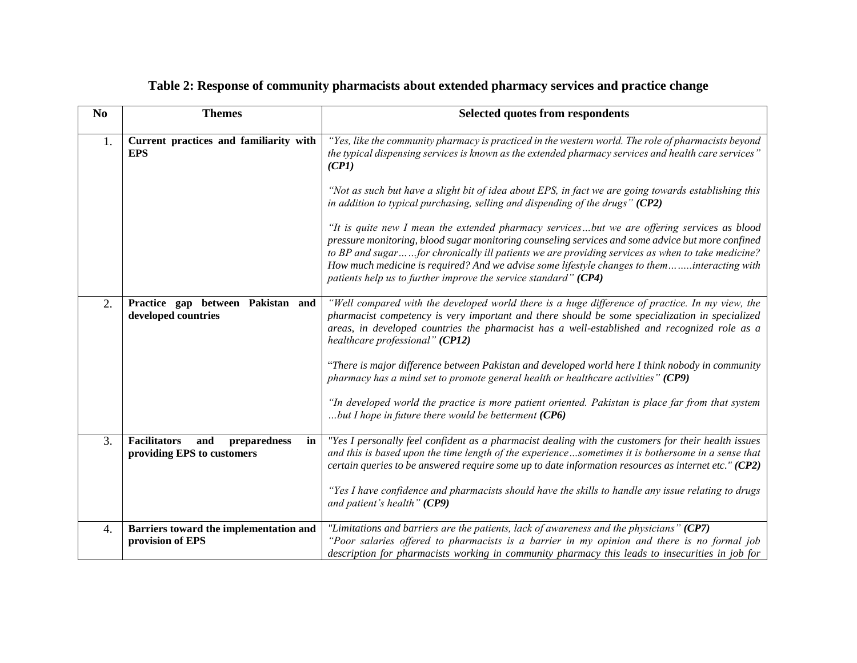| N <sub>0</sub>   | <b>Themes</b>                                                                  | Selected quotes from respondents                                                                                                                                                                                                                                                                                                                                                                                                                                      |
|------------------|--------------------------------------------------------------------------------|-----------------------------------------------------------------------------------------------------------------------------------------------------------------------------------------------------------------------------------------------------------------------------------------------------------------------------------------------------------------------------------------------------------------------------------------------------------------------|
| 1.               | Current practices and familiarity with<br><b>EPS</b>                           | "Yes, like the community pharmacy is practiced in the western world. The role of pharmacists beyond<br>the typical dispensing services is known as the extended pharmacy services and health care services"<br>(CPI)                                                                                                                                                                                                                                                  |
|                  |                                                                                | "Not as such but have a slight bit of idea about EPS, in fact we are going towards establishing this<br>in addition to typical purchasing, selling and dispending of the drugs" $(CP2)$                                                                                                                                                                                                                                                                               |
|                  |                                                                                | "It is quite new I mean the extended pharmacy servicesbut we are offering services as blood<br>pressure monitoring, blood sugar monitoring counseling services and some advice but more confined<br>to BP and sugarfor chronically ill patients we are providing services as when to take medicine?<br>How much medicine is required? And we advise some lifestyle changes to theminteracting with<br>patients help us to further improve the service standard" (CP4) |
| 2.               | Practice gap between Pakistan and<br>developed countries                       | "Well compared with the developed world there is a huge difference of practice. In my view, the<br>pharmacist competency is very important and there should be some specialization in specialized<br>areas, in developed countries the pharmacist has a well-established and recognized role as a<br>healthcare professional" (CP12)                                                                                                                                  |
|                  |                                                                                | "There is major difference between Pakistan and developed world here I think nobody in community<br>pharmacy has a mind set to promote general health or healthcare activities" (CP9)                                                                                                                                                                                                                                                                                 |
|                  |                                                                                | "In developed world the practice is more patient oriented. Pakistan is place far from that system<br>but I hope in future there would be betterment $(CP6)$                                                                                                                                                                                                                                                                                                           |
| 3.               | <b>Facilitators</b><br>and<br>preparedness<br>in<br>providing EPS to customers | "Yes I personally feel confident as a pharmacist dealing with the customers for their health issues<br>and this is based upon the time length of the experiencesometimes it is bothersome in a sense that<br>certain queries to be answered require some up to date information resources as internet etc." $(CP2)$                                                                                                                                                   |
|                  |                                                                                | "Yes I have confidence and pharmacists should have the skills to handle any issue relating to drugs<br>and patient's health" (CP9)                                                                                                                                                                                                                                                                                                                                    |
| $\overline{4}$ . | Barriers toward the implementation and<br>provision of EPS                     | "Limitations and barriers are the patients, lack of awareness and the physicians" (CP7)<br>"Poor salaries offered to pharmacists is a barrier in my opinion and there is no formal job<br>description for pharmacists working in community pharmacy this leads to insecurities in job for                                                                                                                                                                             |

### **Table 2: Response of community pharmacists about extended pharmacy services and practice change**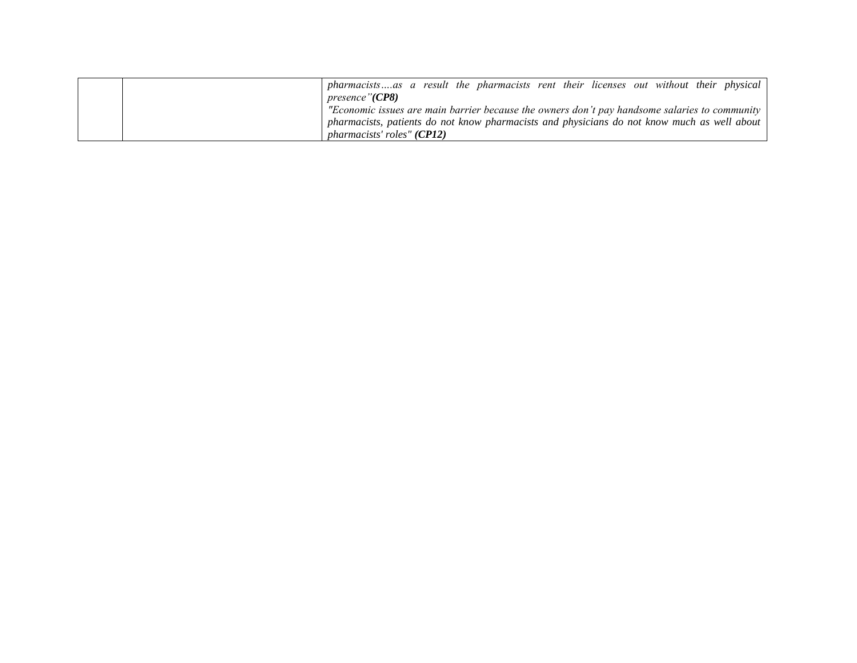| pharmacistsas a result the pharmacists rent their licenses out without their physical                 |
|-------------------------------------------------------------------------------------------------------|
| <i>presence</i> "( <b>CP8</b> )                                                                       |
| "Economic issues are main barrier because the owners don't pay handsome salaries to community $\vert$ |
| pharmacists, patients do not know pharmacists and physicians do not know much as well about           |
| <i>pharmacists' roles" (CP12)</i>                                                                     |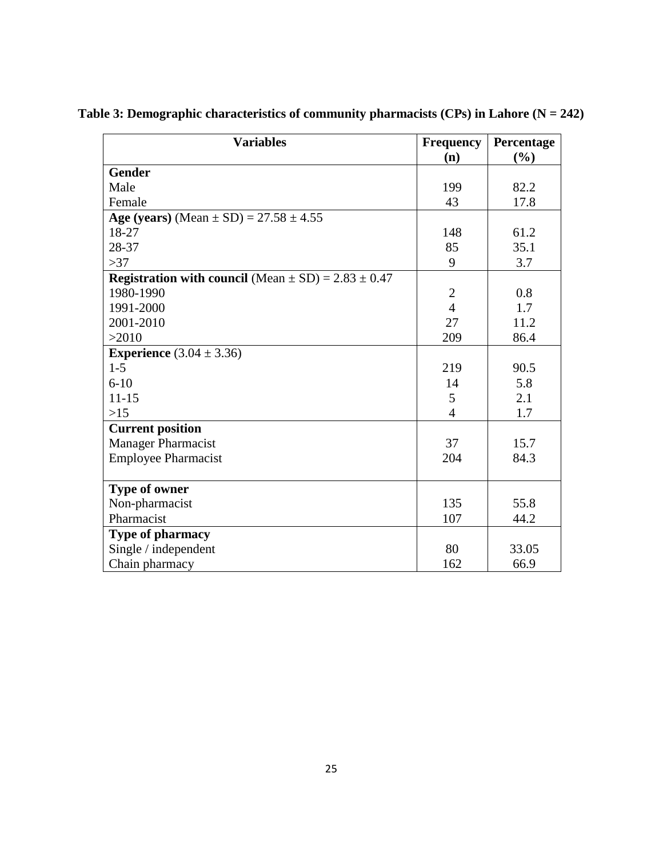| <b>Variables</b>                                                   | <b>Frequency</b> | Percentage |
|--------------------------------------------------------------------|------------------|------------|
|                                                                    | (n)              | (%)        |
| <b>Gender</b>                                                      |                  |            |
| Male                                                               | 199              | 82.2       |
| Female                                                             | 43               | 17.8       |
| Age (years) (Mean $\pm$ SD) = 27.58 $\pm$ 4.55                     |                  |            |
| 18-27                                                              | 148              | 61.2       |
| 28-37                                                              | 85               | 35.1       |
| >37                                                                | 9                | 3.7        |
| <b>Registration with council</b> (Mean $\pm$ SD) = 2.83 $\pm$ 0.47 |                  |            |
| 1980-1990                                                          | $\mathbf{2}$     | 0.8        |
| 1991-2000                                                          | $\overline{4}$   | 1.7        |
| 2001-2010                                                          | 27               | 11.2       |
| >2010                                                              | 209              | 86.4       |
| <b>Experience</b> $(3.04 \pm 3.36)$                                |                  |            |
| $1 - 5$                                                            | 219              | 90.5       |
| $6 - 10$                                                           | 14               | 5.8        |
| $11 - 15$                                                          | 5                | 2.1        |
| $>15$                                                              | $\overline{4}$   | 1.7        |
| <b>Current position</b>                                            |                  |            |
| <b>Manager Pharmacist</b>                                          | 37               | 15.7       |
| <b>Employee Pharmacist</b>                                         | 204              | 84.3       |
|                                                                    |                  |            |
| Type of owner                                                      |                  |            |
| Non-pharmacist                                                     | 135              | 55.8       |
| Pharmacist                                                         | 107              | 44.2       |
| <b>Type of pharmacy</b>                                            |                  |            |
| Single / independent                                               | 80               | 33.05      |
| Chain pharmacy                                                     | 162              | 66.9       |

**Table 3: Demographic characteristics of community pharmacists (CPs) in Lahore (N = 242)**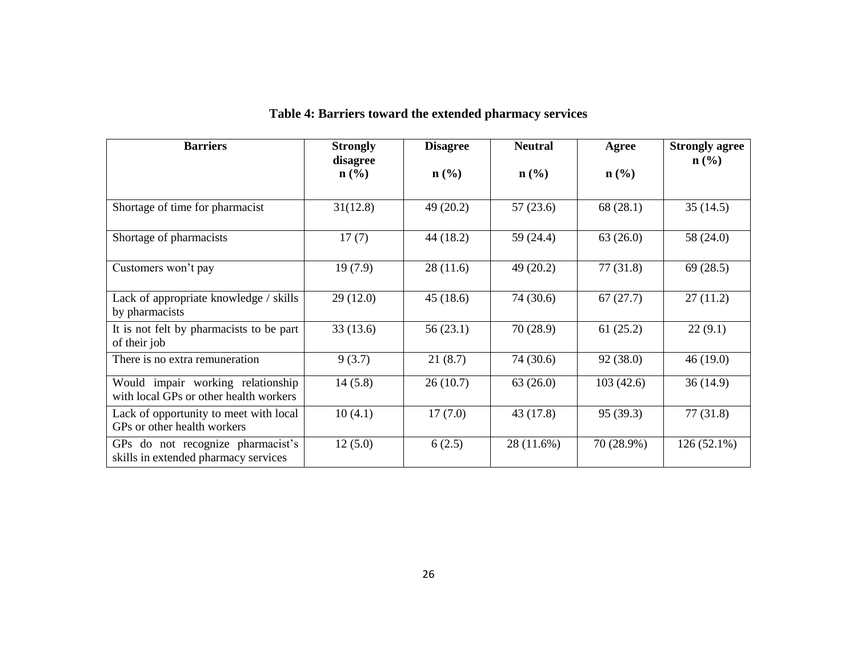| <b>Barriers</b>                                                             | <b>Strongly</b><br>disagree | <b>Disagree</b>  | <b>Neutral</b>   | Agree            | <b>Strongly agree</b><br>$\mathbf{n}(\%)$ |
|-----------------------------------------------------------------------------|-----------------------------|------------------|------------------|------------------|-------------------------------------------|
|                                                                             | $\mathbf{n}(\%)$            | $\mathbf{n}(\%)$ | $\mathbf{n}(\%)$ | $\mathbf{n}(\%)$ |                                           |
| Shortage of time for pharmacist                                             | 31(12.8)                    | 49(20.2)         | 57(23.6)         | 68 (28.1)        | 35(14.5)                                  |
| Shortage of pharmacists                                                     | 17(7)                       | 44 (18.2)        | 59 (24.4)        | 63(26.0)         | 58 (24.0)                                 |
| Customers won't pay                                                         | 19(7.9)                     | 28(11.6)         | 49 (20.2)        | 77(31.8)         | 69(28.5)                                  |
| Lack of appropriate knowledge / skills<br>by pharmacists                    | 29(12.0)                    | 45(18.6)         | 74 (30.6)        | 67(27.7)         | 27(11.2)                                  |
| It is not felt by pharmacists to be part<br>of their job                    | 33(13.6)                    | 56(23.1)         | 70 (28.9)        | 61(25.2)         | 22(9.1)                                   |
| There is no extra remuneration                                              | 9(3.7)                      | 21(8.7)          | 74 (30.6)        | 92 (38.0)        | 46(19.0)                                  |
| Would impair working relationship<br>with local GPs or other health workers | 14(5.8)                     | 26(10.7)         | 63(26.0)         | 103(42.6)        | 36(14.9)                                  |
| Lack of opportunity to meet with local<br>GPs or other health workers       | 10(4.1)                     | 17(7.0)          | 43 (17.8)        | 95 (39.3)        | 77(31.8)                                  |
| GPs do not recognize pharmacist's<br>skills in extended pharmacy services   | 12(5.0)                     | 6(2.5)           | 28 (11.6%)       | 70 (28.9%)       | $126(52.1\%)$                             |

# **Table 4: Barriers toward the extended pharmacy services**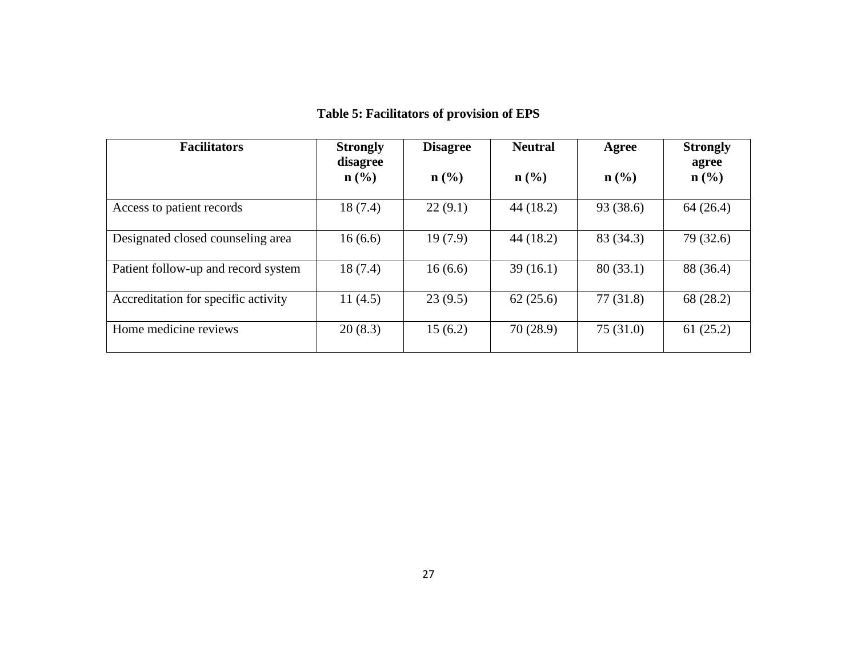| <b>Facilitators</b><br><b>Strongly</b><br>disagree |                             | <b>Neutral</b><br><b>Disagree</b> |                             | Agree     | <b>Strongly</b><br>agree |  |
|----------------------------------------------------|-----------------------------|-----------------------------------|-----------------------------|-----------|--------------------------|--|
|                                                    | $n\left(\frac{0}{0}\right)$ | $\mathbf{n}(\%)$                  | $n\left(\frac{0}{0}\right)$ | $n$ (%)   | $\mathbf{n}(\%)$         |  |
| Access to patient records                          | 18(7.4)                     | 22(9.1)                           | 44 (18.2)                   | 93 (38.6) | 64 (26.4)                |  |
| Designated closed counseling area                  | 16(6.6)                     | 19(7.9)                           | 44(18.2)                    | 83 (34.3) | 79 (32.6)                |  |
| Patient follow-up and record system                | 18(7.4)                     | 16(6.6)                           | 39(16.1)                    | 80(33.1)  | 88 (36.4)                |  |
| Accreditation for specific activity                | 11(4.5)                     | 23(9.5)                           | 62(25.6)                    | 77(31.8)  | 68 (28.2)                |  |
| Home medicine reviews                              | 20(8.3)                     | 15(6.2)                           | 70(28.9)                    | 75(31.0)  | 61(25.2)                 |  |